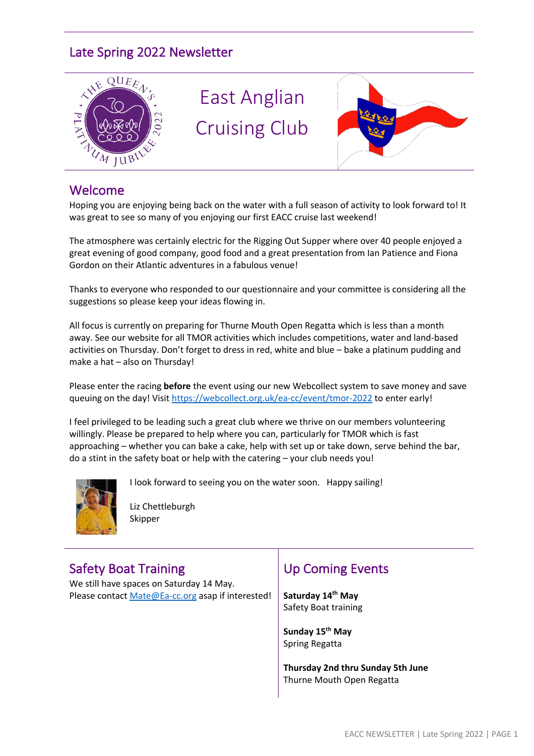# Late Spring 2022 Newsletter



#### Welcome

Hoping you are enjoying being back on the water with a full season of activity to look forward to! It was great to see so many of you enjoying our first EACC cruise last weekend!

The atmosphere was certainly electric for the Rigging Out Supper where over 40 people enjoyed a great evening of good company, good food and a great presentation from Ian Patience and Fiona Gordon on their Atlantic adventures in a fabulous venue!

Thanks to everyone who responded to our questionnaire and your committee is considering all the suggestions so please keep your ideas flowing in.

All focus is currently on preparing for Thurne Mouth Open Regatta which is less than a month away. See our website for all TMOR activities which includes competitions, water and land-based activities on Thursday. Don't forget to dress in red, white and blue – bake a platinum pudding and make a hat – also on Thursday!

Please enter the racing **before** the event using our new Webcollect system to save money and save queuing on the day! Visit https://webcollect.org.uk/ea-cc/event/tmor-2022 to enter early!

I feel privileged to be leading such a great club where we thrive on our members volunteering willingly. Please be prepared to help where you can, particularly for TMOR which is fast approaching – whether you can bake a cake, help with set up or take down, serve behind the bar, do a stint in the safety boat or help with the catering – your club needs you!



I look forward to seeing you on the water soon. Happy sailing!

Liz Chettleburgh Skipper

# Safety Boat Training

We still have spaces on Saturday 14 May. Please contact Mate@Ea-cc.org asap if interested!

# Up Coming Events

**Saturday 14th May** Safety Boat training

**Sunday 15th May**  Spring Regatta

**Thursday 2nd thru Sunday 5th June** Thurne Mouth Open Regatta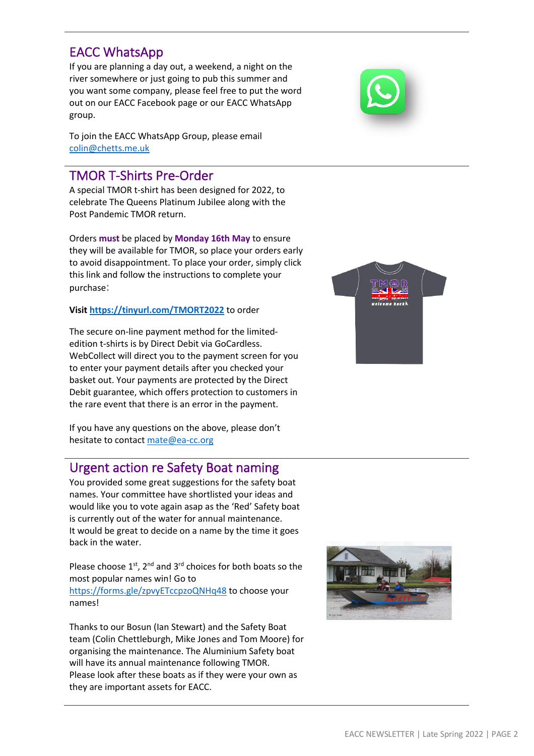#### EACC NEWSLETTER | Late Spring 2022 | PAGE 2

## EACC WhatsApp

If you are planning a day out, a weekend, a night on the river somewhere or just going to pub this summer and you want some company, please feel free to put the word out on our EACC Facebook page or our EACC WhatsApp group.

To join the EACC WhatsApp Group, please email colin@chetts.me.uk

### TMOR T-Shirts Pre-Order

A special TMOR t-shirt has been designed for 2022, to celebrate The Queens Platinum Jubilee along with the Post Pandemic TMOR return.

Orders **must** be placed by **Monday 16th May** to ensure they will be available for TMOR, so place your orders early to avoid disappointment. To place your order, simply click this link and follow the instructions to complete your purchase:

#### **Visit https://tinyurl.com/TMORT2022** to order

The secure on-line payment method for the limitededition t-shirts is by Direct Debit via GoCardless. WebCollect will direct you to the payment screen for you to enter your payment details after you checked your basket out. Your payments are protected by the Direct Debit guarantee, which offers protection to customers in the rare event that there is an error in the payment.

If you have any questions on the above, please don't hesitate to contact mate@ea-cc.org

### Urgent action re Safety Boat naming

You provided some great suggestions for the safety boat names. Your committee have shortlisted your ideas and would like you to vote again asap as the 'Red' Safety boat is currently out of the water for annual maintenance. It would be great to decide on a name by the time it goes back in the water.

Please choose  $1^{st}$ ,  $2^{nd}$  and  $3^{rd}$  choices for both boats so the most popular names win! Go to https://forms.gle/zpvyETccpzoQNHq48 to choose your names!

Thanks to our Bosun (Ian Stewart) and the Safety Boat team (Colin Chettleburgh, Mike Jones and Tom Moore) for organising the maintenance. The Aluminium Safety boat will have its annual maintenance following TMOR. Please look after these boats as if they were your own as they are important assets for EACC.